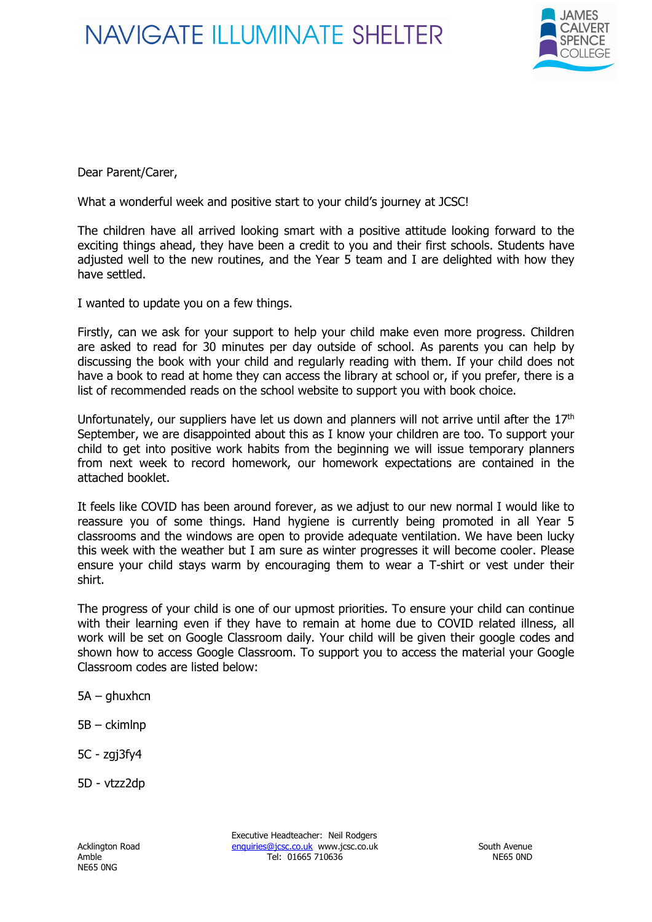## **NAVIGATE ILLUMINATE SHELTER**



Dear Parent/Carer,

What a wonderful week and positive start to your child's journey at JCSC!

The children have all arrived looking smart with a positive attitude looking forward to the exciting things ahead, they have been a credit to you and their first schools. Students have adjusted well to the new routines, and the Year 5 team and I are delighted with how they have settled.

I wanted to update you on a few things.

Firstly, can we ask for your support to help your child make even more progress. Children are asked to read for 30 minutes per day outside of school. As parents you can help by discussing the book with your child and regularly reading with them. If your child does not have a book to read at home they can access the library at school or, if you prefer, there is a list of recommended reads on the school website to support you with book choice.

Unfortunately, our suppliers have let us down and planners will not arrive until after the  $17<sup>th</sup>$ September, we are disappointed about this as I know your children are too. To support your child to get into positive work habits from the beginning we will issue temporary planners from next week to record homework, our homework expectations are contained in the attached booklet.

It feels like COVID has been around forever, as we adjust to our new normal I would like to reassure you of some things. Hand hygiene is currently being promoted in all Year 5 classrooms and the windows are open to provide adequate ventilation. We have been lucky this week with the weather but I am sure as winter progresses it will become cooler. Please ensure your child stays warm by encouraging them to wear a T-shirt or vest under their shirt.

The progress of your child is one of our upmost priorities. To ensure your child can continue with their learning even if they have to remain at home due to COVID related illness, all work will be set on Google Classroom daily. Your child will be given their google codes and shown how to access Google Classroom. To support you to access the material your Google Classroom codes are listed below:

- 5A ghuxhcn
- 5B ckimlnp
- 5C zgj3fy4
- 5D vtzz2dp